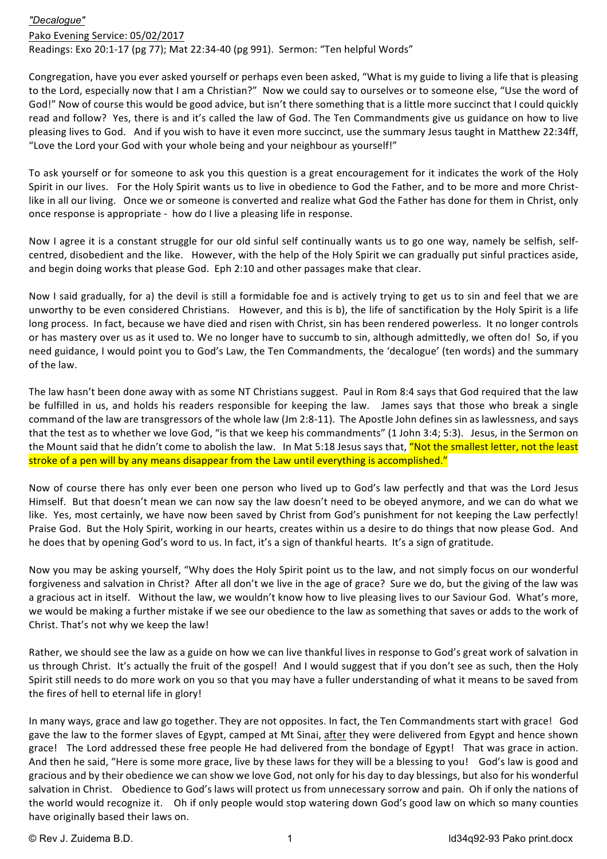## *"Decalogue"*

## Pako Evening Service: 05/02/2017

Readings: Exo 20:1-17 (pg 77); Mat 22:34-40 (pg 991). Sermon: "Ten helpful Words"

Congregation, have you ever asked yourself or perhaps even been asked, "What is my guide to living a life that is pleasing to the Lord, especially now that I am a Christian?" Now we could say to ourselves or to someone else, "Use the word of God!" Now of course this would be good advice, but isn't there something that is a little more succinct that I could quickly read and follow? Yes, there is and it's called the law of God. The Ten Commandments give us guidance on how to live pleasing lives to God. And if you wish to have it even more succinct, use the summary Jesus taught in Matthew 22:34ff, "Love the Lord your God with your whole being and your neighbour as yourself!"

To ask yourself or for someone to ask you this question is a great encouragement for it indicates the work of the Holy Spirit in our lives. For the Holy Spirit wants us to live in obedience to God the Father, and to be more and more Christlike in all our living. Once we or someone is converted and realize what God the Father has done for them in Christ, only once response is appropriate - how do I live a pleasing life in response.

Now I agree it is a constant struggle for our old sinful self continually wants us to go one way, namely be selfish, selfcentred, disobedient and the like. However, with the help of the Holy Spirit we can gradually put sinful practices aside, and begin doing works that please God. Eph 2:10 and other passages make that clear.

Now I said gradually, for a) the devil is still a formidable foe and is actively trying to get us to sin and feel that we are unworthy to be even considered Christians. However, and this is b), the life of sanctification by the Holy Spirit is a life long process. In fact, because we have died and risen with Christ, sin has been rendered powerless. It no longer controls or has mastery over us as it used to. We no longer have to succumb to sin, although admittedly, we often do! So, if you need guidance, I would point you to God's Law, the Ten Commandments, the 'decalogue' (ten words) and the summary of the law.

The law hasn't been done away with as some NT Christians suggest. Paul in Rom 8:4 says that God required that the law be fulfilled in us, and holds his readers responsible for keeping the law. James says that those who break a single command of the law are transgressors of the whole law (Jm 2:8-11). The Apostle John defines sin as lawlessness, and says that the test as to whether we love God, "is that we keep his commandments" (1 John 3:4; 5:3). Jesus, in the Sermon on the Mount said that he didn't come to abolish the law. In Mat 5:18 Jesus says that, "Not the smallest letter, not the least stroke of a pen will by any means disappear from the Law until everything is accomplished."

Now of course there has only ever been one person who lived up to God's law perfectly and that was the Lord Jesus Himself. But that doesn't mean we can now say the law doesn't need to be obeyed anymore, and we can do what we like. Yes, most certainly, we have now been saved by Christ from God's punishment for not keeping the Law perfectly! Praise God. But the Holy Spirit, working in our hearts, creates within us a desire to do things that now please God. And he does that by opening God's word to us. In fact, it's a sign of thankful hearts. It's a sign of gratitude.

Now you may be asking yourself, "Why does the Holy Spirit point us to the law, and not simply focus on our wonderful forgiveness and salvation in Christ? After all don't we live in the age of grace? Sure we do, but the giving of the law was a gracious act in itself. Without the law, we wouldn't know how to live pleasing lives to our Saviour God. What's more, we would be making a further mistake if we see our obedience to the law as something that saves or adds to the work of Christ. That's not why we keep the law!

Rather, we should see the law as a guide on how we can live thankful lives in response to God's great work of salvation in us through Christ. It's actually the fruit of the gospel! And I would suggest that if you don't see as such, then the Holy Spirit still needs to do more work on you so that you may have a fuller understanding of what it means to be saved from the fires of hell to eternal life in glory!

In many ways, grace and law go together. They are not opposites. In fact, the Ten Commandments start with grace! God gave the law to the former slaves of Egypt, camped at Mt Sinai, after they were delivered from Egypt and hence shown grace! The Lord addressed these free people He had delivered from the bondage of Egypt! That was grace in action. And then he said, "Here is some more grace, live by these laws for they will be a blessing to you! God's law is good and gracious and by their obedience we can show we love God, not only for his day to day blessings, but also for his wonderful salvation in Christ. Obedience to God's laws will protect us from unnecessary sorrow and pain. Oh if only the nations of the world would recognize it. Oh if only people would stop watering down God's good law on which so many counties have originally based their laws on.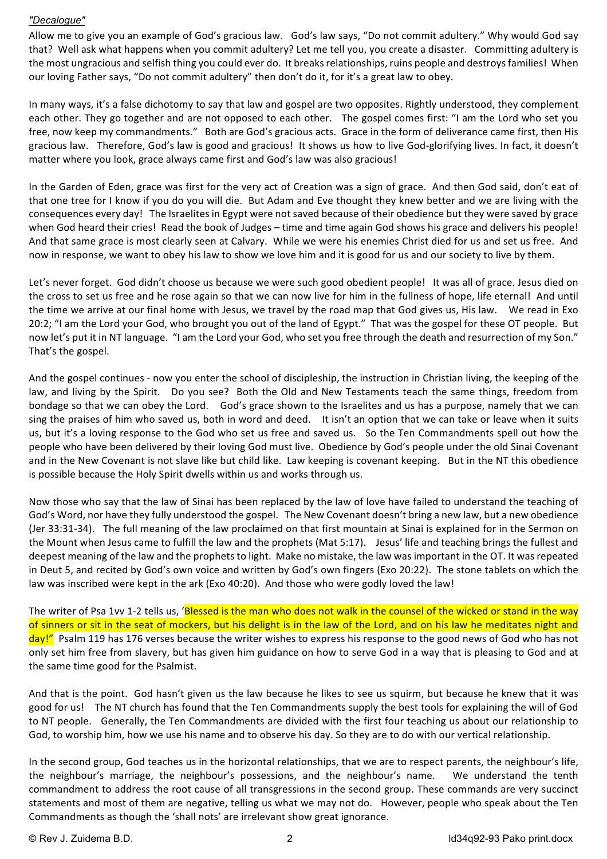## *"Decalogue"*

Allow me to give you an example of God's gracious law. God's law says, "Do not commit adultery." Why would God say that? Well ask what happens when you commit adultery? Let me tell you, you create a disaster. Committing adultery is the most ungracious and selfish thing you could ever do. It breaks relationships, ruins people and destroys families! When our loving Father says, "Do not commit adultery" then don't do it, for it's a great law to obey.

In many ways, it's a false dichotomy to say that law and gospel are two opposites. Rightly understood, they complement each other. They go together and are not opposed to each other. The gospel comes first: "I am the Lord who set you free, now keep my commandments." Both are God's gracious acts. Grace in the form of deliverance came first, then His gracious law. Therefore, God's law is good and gracious! It shows us how to live God-glorifying lives. In fact, it doesn't matter where you look, grace always came first and God's law was also gracious!

In the Garden of Eden, grace was first for the very act of Creation was a sign of grace. And then God said, don't eat of that one tree for I know if you do you will die. But Adam and Eve thought they knew better and we are living with the consequences every day! The Israelites in Egypt were not saved because of their obedience but they were saved by grace when God heard their cries! Read the book of Judges – time and time again God shows his grace and delivers his people! And that same grace is most clearly seen at Calvary. While we were his enemies Christ died for us and set us free. And now in response, we want to obey his law to show we love him and it is good for us and our society to live by them.

Let's never forget. God didn't choose us because we were such good obedient people! It was all of grace. Jesus died on the cross to set us free and he rose again so that we can now live for him in the fullness of hope, life eternal! And until the time we arrive at our final home with Jesus, we travel by the road map that God gives us, His law. We read in Exo 20:2; "I am the Lord your God, who brought you out of the land of Egypt." That was the gospel for these OT people. But now let's put it in NT language. "I am the Lord your God, who set you free through the death and resurrection of my Son." That's the gospel.

And the gospel continues - now you enter the school of discipleship, the instruction in Christian living, the keeping of the law, and living by the Spirit. Do you see? Both the Old and New Testaments teach the same things, freedom from bondage so that we can obey the Lord. God's grace shown to the Israelites and us has a purpose, namely that we can sing the praises of him who saved us, both in word and deed. It isn't an option that we can take or leave when it suits us, but it's a loving response to the God who set us free and saved us. So the Ten Commandments spell out how the people who have been delivered by their loving God must live. Obedience by God's people under the old Sinai Covenant and in the New Covenant is not slave like but child like. Law keeping is covenant keeping. But in the NT this obedience is possible because the Holy Spirit dwells within us and works through us.

Now those who say that the law of Sinai has been replaced by the law of love have failed to understand the teaching of God's Word, nor have they fully understood the gospel. The New Covenant doesn't bring a new law, but a new obedience (Jer 33:31-34). The full meaning of the law proclaimed on that first mountain at Sinai is explained for in the Sermon on the Mount when Jesus came to fulfill the law and the prophets (Mat 5:17). Jesus' life and teaching brings the fullest and deepest meaning of the law and the prophets to light. Make no mistake, the law was important in the OT. It was repeated in Deut 5, and recited by God's own voice and written by God's own fingers (Exo 20:22). The stone tablets on which the law was inscribed were kept in the ark (Exo 40:20). And those who were godly loved the law!

The writer of Psa 1vv 1-2 tells us, 'Blessed is the man who does not walk in the counsel of the wicked or stand in the way of sinners or sit in the seat of mockers, but his delight is in the law of the Lord, and on his law he meditates night and day!" Psalm 119 has 176 verses because the writer wishes to express his response to the good news of God who has not only set him free from slavery, but has given him guidance on how to serve God in a way that is pleasing to God and at the same time good for the Psalmist.

And that is the point. God hasn't given us the law because he likes to see us squirm, but because he knew that it was good for us! The NT church has found that the Ten Commandments supply the best tools for explaining the will of God to NT people. Generally, the Ten Commandments are divided with the first four teaching us about our relationship to God, to worship him, how we use his name and to observe his day. So they are to do with our vertical relationship.

In the second group, God teaches us in the horizontal relationships, that we are to respect parents, the neighbour's life, the neighbour's marriage, the neighbour's possessions, and the neighbour's name. We understand the tenth commandment to address the root cause of all transgressions in the second group. These commands are very succinct statements and most of them are negative, telling us what we may not do. However, people who speak about the Ten Commandments as though the 'shall nots' are irrelevant show great ignorance.